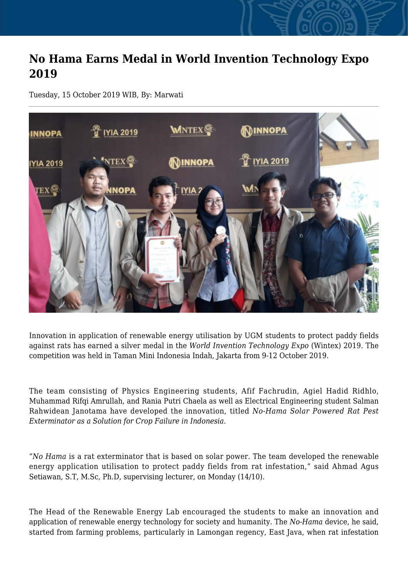## **No Hama Earns Medal in World Invention Technology Expo 2019**

Tuesday, 15 October 2019 WIB, By: Marwati



Innovation in application of renewable energy utilisation by UGM students to protect paddy fields against rats has earned a silver medal in the *World Invention Technology Expo* (Wintex) 2019. The competition was held in Taman Mini Indonesia Indah, Jakarta from 9-12 October 2019.

The team consisting of Physics Engineering students, Afif Fachrudin, Agiel Hadid Ridhlo, Muhammad Rifqi Amrullah, and Rania Putri Chaela as well as Electrical Engineering student Salman Rahwidean Janotama have developed the innovation, titled *No-Hama Solar Powered Rat Pest Exterminator as a Solution for Crop Failure in Indonesia.*

"*No Hama* is a rat exterminator that is based on solar power. The team developed the renewable energy application utilisation to protect paddy fields from rat infestation," said Ahmad Agus Setiawan, S.T, M.Sc, Ph.D, supervising lecturer, on Monday (14/10).

The Head of the Renewable Energy Lab encouraged the students to make an innovation and application of renewable energy technology for society and humanity. The *No-Hama* device, he said, started from farming problems, particularly in Lamongan regency, East Java, when rat infestation